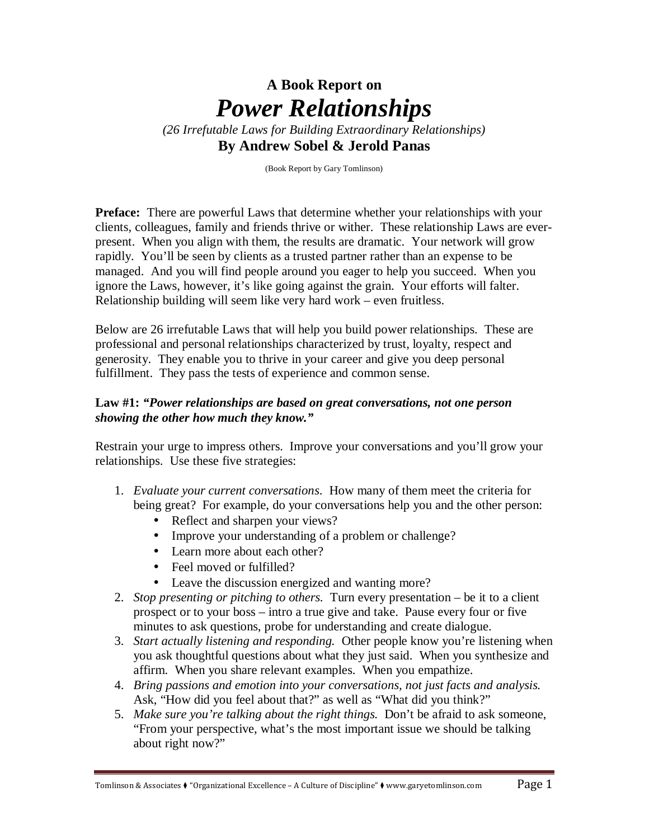# **A Book Report on**  *Power Relationships*

*(26 Irrefutable Laws for Building Extraordinary Relationships)*  **By Andrew Sobel & Jerold Panas** 

(Book Report by Gary Tomlinson)

**Preface:** There are powerful Laws that determine whether your relationships with your clients, colleagues, family and friends thrive or wither. These relationship Laws are everpresent. When you align with them, the results are dramatic. Your network will grow rapidly. You'll be seen by clients as a trusted partner rather than an expense to be managed. And you will find people around you eager to help you succeed. When you ignore the Laws, however, it's like going against the grain. Your efforts will falter. Relationship building will seem like very hard work – even fruitless.

Below are 26 irrefutable Laws that will help you build power relationships. These are professional and personal relationships characterized by trust, loyalty, respect and generosity. They enable you to thrive in your career and give you deep personal fulfillment. They pass the tests of experience and common sense.

#### **Law #1:** *"Power relationships are based on great conversations, not one person showing the other how much they know."*

Restrain your urge to impress others. Improve your conversations and you'll grow your relationships. Use these five strategies:

- 1. *Evaluate your current conversations*. How many of them meet the criteria for being great? For example, do your conversations help you and the other person:
	- Reflect and sharpen your views?
	- Improve your understanding of a problem or challenge?
	- Learn more about each other?
	- Feel moved or fulfilled?
	- Leave the discussion energized and wanting more?
- 2. *Stop presenting or pitching to others.* Turn every presentation be it to a client prospect or to your boss – intro a true give and take. Pause every four or five minutes to ask questions, probe for understanding and create dialogue.
- 3. *Start actually listening and responding.* Other people know you're listening when you ask thoughtful questions about what they just said. When you synthesize and affirm. When you share relevant examples. When you empathize.
- 4. *Bring passions and emotion into your conversations, not just facts and analysis.* Ask, "How did you feel about that?" as well as "What did you think?"
- 5. *Make sure you're talking about the right things.* Don't be afraid to ask someone, "From your perspective, what's the most important issue we should be talking about right now?"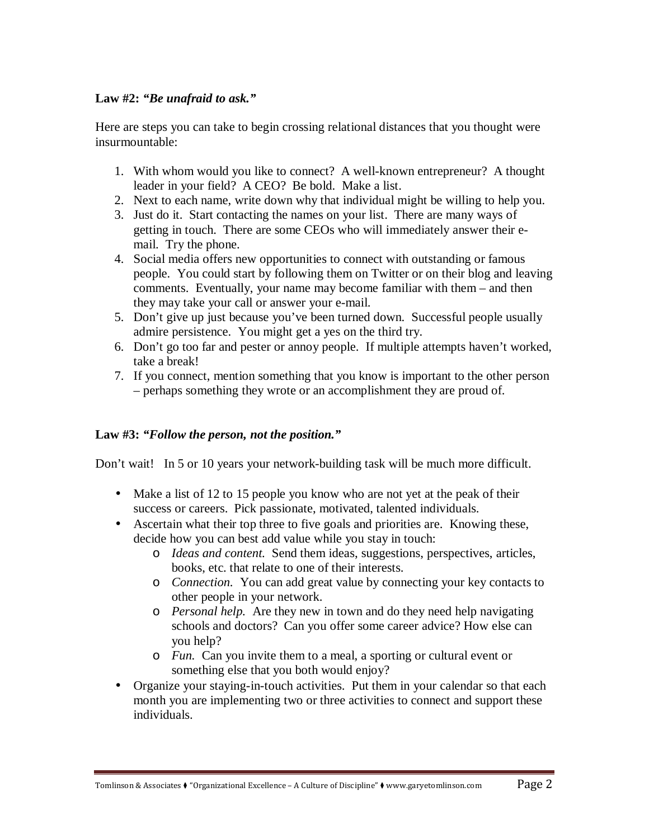#### **Law #2:** *"Be unafraid to ask."*

Here are steps you can take to begin crossing relational distances that you thought were insurmountable:

- 1. With whom would you like to connect? A well-known entrepreneur? A thought leader in your field? A CEO? Be bold. Make a list.
- 2. Next to each name, write down why that individual might be willing to help you.
- 3. Just do it. Start contacting the names on your list. There are many ways of getting in touch. There are some CEOs who will immediately answer their email. Try the phone.
- 4. Social media offers new opportunities to connect with outstanding or famous people. You could start by following them on Twitter or on their blog and leaving comments. Eventually, your name may become familiar with them – and then they may take your call or answer your e-mail.
- 5. Don't give up just because you've been turned down. Successful people usually admire persistence. You might get a yes on the third try.
- 6. Don't go too far and pester or annoy people. If multiple attempts haven't worked, take a break!
- 7. If you connect, mention something that you know is important to the other person – perhaps something they wrote or an accomplishment they are proud of.

#### **Law #3:** *"Follow the person, not the position."*

Don't wait! In 5 or 10 years your network-building task will be much more difficult.

- Make a list of 12 to 15 people you know who are not yet at the peak of their success or careers. Pick passionate, motivated, talented individuals.
- Ascertain what their top three to five goals and priorities are. Knowing these, decide how you can best add value while you stay in touch:
	- o *Ideas and content.* Send them ideas, suggestions, perspectives, articles, books, etc. that relate to one of their interests.
	- o *Connection.* You can add great value by connecting your key contacts to other people in your network.
	- o *Personal help.* Are they new in town and do they need help navigating schools and doctors? Can you offer some career advice? How else can you help?
	- o *Fun.* Can you invite them to a meal, a sporting or cultural event or something else that you both would enjoy?
- Organize your staying-in-touch activities. Put them in your calendar so that each month you are implementing two or three activities to connect and support these individuals.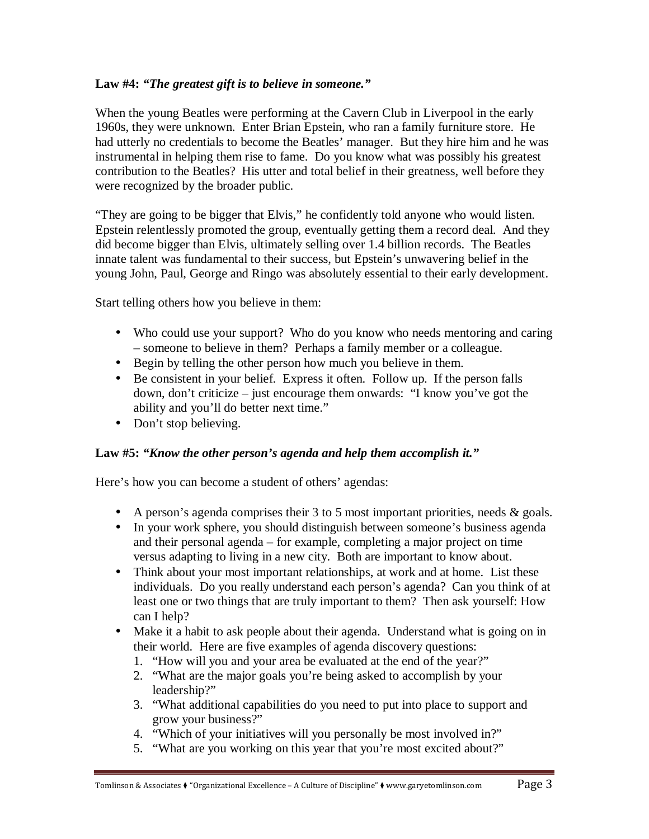#### **Law #4:** *"The greatest gift is to believe in someone."*

When the young Beatles were performing at the Cavern Club in Liverpool in the early 1960s, they were unknown. Enter Brian Epstein, who ran a family furniture store. He had utterly no credentials to become the Beatles' manager. But they hire him and he was instrumental in helping them rise to fame. Do you know what was possibly his greatest contribution to the Beatles? His utter and total belief in their greatness, well before they were recognized by the broader public.

"They are going to be bigger that Elvis," he confidently told anyone who would listen. Epstein relentlessly promoted the group, eventually getting them a record deal. And they did become bigger than Elvis, ultimately selling over 1.4 billion records. The Beatles innate talent was fundamental to their success, but Epstein's unwavering belief in the young John, Paul, George and Ringo was absolutely essential to their early development.

Start telling others how you believe in them:

- Who could use your support? Who do you know who needs mentoring and caring – someone to believe in them? Perhaps a family member or a colleague.
- Begin by telling the other person how much you believe in them.
- Be consistent in your belief. Express it often. Follow up. If the person falls down, don't criticize – just encourage them onwards: "I know you've got the ability and you'll do better next time."
- Don't stop believing.

#### **Law #5:** *"Know the other person's agenda and help them accomplish it."*

Here's how you can become a student of others' agendas:

- A person's agenda comprises their 3 to 5 most important priorities, needs & goals.
- In your work sphere, you should distinguish between someone's business agenda and their personal agenda – for example, completing a major project on time versus adapting to living in a new city. Both are important to know about.
- Think about your most important relationships, at work and at home. List these individuals. Do you really understand each person's agenda? Can you think of at least one or two things that are truly important to them? Then ask yourself: How can I help?
- Make it a habit to ask people about their agenda. Understand what is going on in their world. Here are five examples of agenda discovery questions:
	- 1. "How will you and your area be evaluated at the end of the year?"
	- 2. "What are the major goals you're being asked to accomplish by your leadership?"
	- 3. "What additional capabilities do you need to put into place to support and grow your business?"
	- 4. "Which of your initiatives will you personally be most involved in?"
	- 5. "What are you working on this year that you're most excited about?"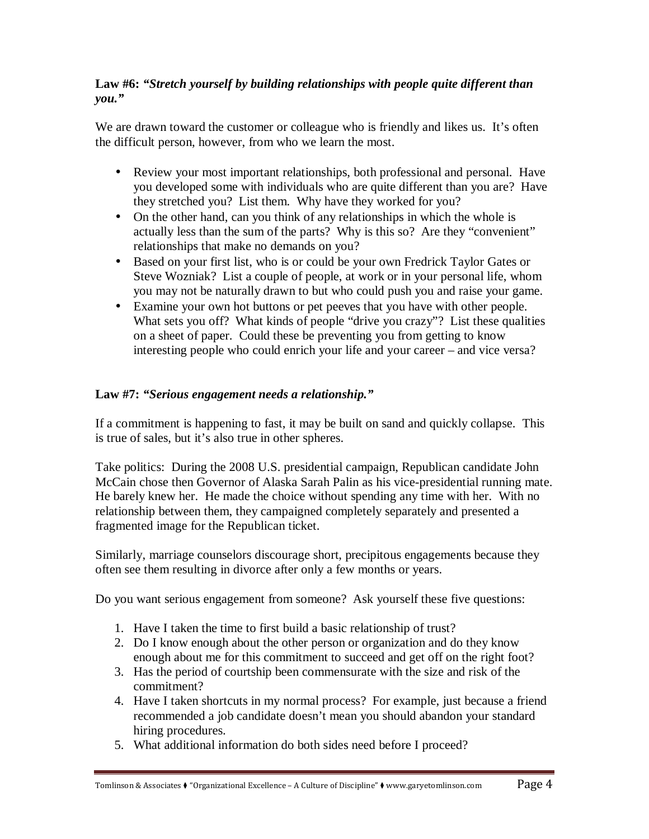## **Law #6:** *"Stretch yourself by building relationships with people quite different than you."*

We are drawn toward the customer or colleague who is friendly and likes us. It's often the difficult person, however, from who we learn the most.

- Review your most important relationships, both professional and personal. Have you developed some with individuals who are quite different than you are? Have they stretched you? List them. Why have they worked for you?
- On the other hand, can you think of any relationships in which the whole is actually less than the sum of the parts? Why is this so? Are they "convenient" relationships that make no demands on you?
- Based on your first list, who is or could be your own Fredrick Taylor Gates or Steve Wozniak? List a couple of people, at work or in your personal life, whom you may not be naturally drawn to but who could push you and raise your game.
- Examine your own hot buttons or pet peeves that you have with other people. What sets you off? What kinds of people "drive you crazy"? List these qualities on a sheet of paper. Could these be preventing you from getting to know interesting people who could enrich your life and your career – and vice versa?

# **Law #7:** *"Serious engagement needs a relationship."*

If a commitment is happening to fast, it may be built on sand and quickly collapse. This is true of sales, but it's also true in other spheres.

Take politics: During the 2008 U.S. presidential campaign, Republican candidate John McCain chose then Governor of Alaska Sarah Palin as his vice-presidential running mate. He barely knew her. He made the choice without spending any time with her. With no relationship between them, they campaigned completely separately and presented a fragmented image for the Republican ticket.

Similarly, marriage counselors discourage short, precipitous engagements because they often see them resulting in divorce after only a few months or years.

Do you want serious engagement from someone? Ask yourself these five questions:

- 1. Have I taken the time to first build a basic relationship of trust?
- 2. Do I know enough about the other person or organization and do they know enough about me for this commitment to succeed and get off on the right foot?
- 3. Has the period of courtship been commensurate with the size and risk of the commitment?
- 4. Have I taken shortcuts in my normal process? For example, just because a friend recommended a job candidate doesn't mean you should abandon your standard hiring procedures.
- 5. What additional information do both sides need before I proceed?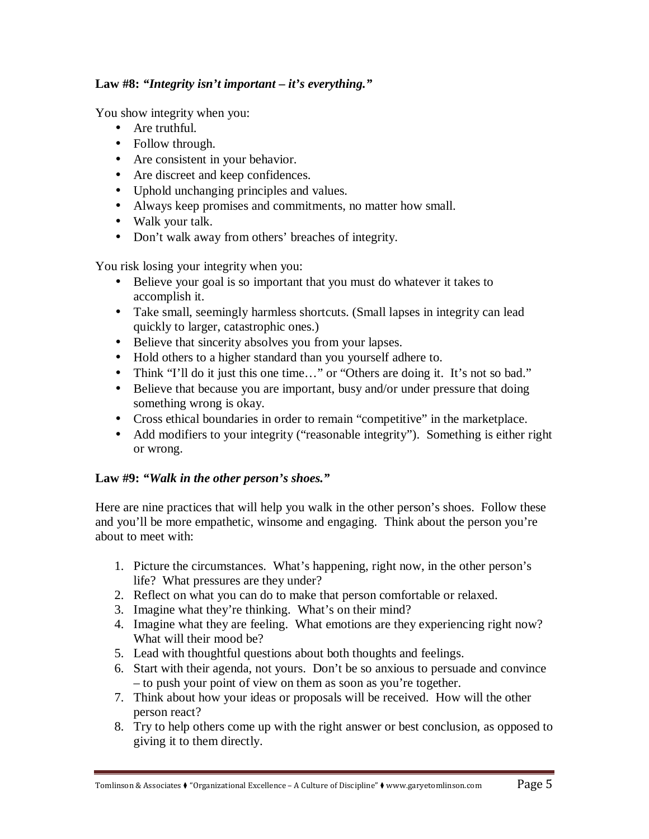#### **Law #8:** *"Integrity isn't important – it's everything."*

You show integrity when you:

- Are truthful.
- Follow through.
- Are consistent in your behavior.
- Are discreet and keep confidences.
- Uphold unchanging principles and values.
- Always keep promises and commitments, no matter how small.
- Walk your talk.
- Don't walk away from others' breaches of integrity.

You risk losing your integrity when you:

- Believe your goal is so important that you must do whatever it takes to accomplish it.
- Take small, seemingly harmless shortcuts. (Small lapses in integrity can lead quickly to larger, catastrophic ones.)
- Believe that sincerity absolves you from your lapses.
- Hold others to a higher standard than you yourself adhere to.
- Think "I'll do it just this one time..." or "Others are doing it. It's not so bad."
- Believe that because you are important, busy and/or under pressure that doing something wrong is okay.
- Cross ethical boundaries in order to remain "competitive" in the marketplace.
- Add modifiers to your integrity ("reasonable integrity"). Something is either right or wrong.

#### **Law #9:** *"Walk in the other person's shoes."*

Here are nine practices that will help you walk in the other person's shoes. Follow these and you'll be more empathetic, winsome and engaging. Think about the person you're about to meet with:

- 1. Picture the circumstances. What's happening, right now, in the other person's life? What pressures are they under?
- 2. Reflect on what you can do to make that person comfortable or relaxed.
- 3. Imagine what they're thinking. What's on their mind?
- 4. Imagine what they are feeling. What emotions are they experiencing right now? What will their mood be?
- 5. Lead with thoughtful questions about both thoughts and feelings.
- 6. Start with their agenda, not yours. Don't be so anxious to persuade and convince – to push your point of view on them as soon as you're together.
- 7. Think about how your ideas or proposals will be received. How will the other person react?
- 8. Try to help others come up with the right answer or best conclusion, as opposed to giving it to them directly.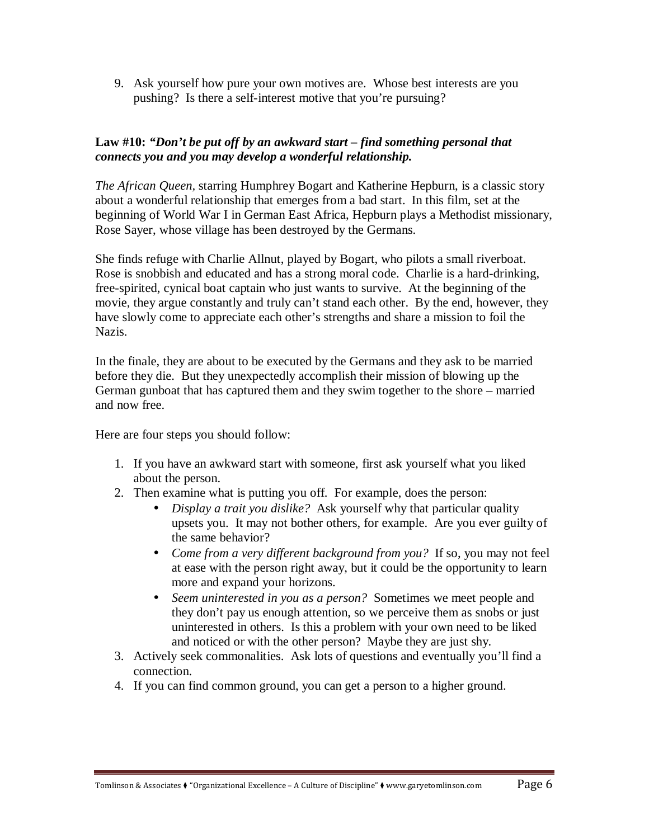9. Ask yourself how pure your own motives are. Whose best interests are you pushing? Is there a self-interest motive that you're pursuing?

# **Law #10:** *"Don't be put off by an awkward start – find something personal that connects you and you may develop a wonderful relationship.*

*The African Queen,* starring Humphrey Bogart and Katherine Hepburn, is a classic story about a wonderful relationship that emerges from a bad start. In this film, set at the beginning of World War I in German East Africa, Hepburn plays a Methodist missionary, Rose Sayer, whose village has been destroyed by the Germans.

She finds refuge with Charlie Allnut, played by Bogart, who pilots a small riverboat. Rose is snobbish and educated and has a strong moral code. Charlie is a hard-drinking, free-spirited, cynical boat captain who just wants to survive. At the beginning of the movie, they argue constantly and truly can't stand each other. By the end, however, they have slowly come to appreciate each other's strengths and share a mission to foil the Nazis.

In the finale, they are about to be executed by the Germans and they ask to be married before they die. But they unexpectedly accomplish their mission of blowing up the German gunboat that has captured them and they swim together to the shore – married and now free.

Here are four steps you should follow:

- 1. If you have an awkward start with someone, first ask yourself what you liked about the person.
- 2. Then examine what is putting you off. For example, does the person:
	- *Display a trait you dislike?* Ask yourself why that particular quality upsets you. It may not bother others, for example. Are you ever guilty of the same behavior?
	- *Come from a very different background from you?* If so, you may not feel at ease with the person right away, but it could be the opportunity to learn more and expand your horizons.
	- *Seem uninterested in you as a person?* Sometimes we meet people and they don't pay us enough attention, so we perceive them as snobs or just uninterested in others. Is this a problem with your own need to be liked and noticed or with the other person? Maybe they are just shy.
- 3. Actively seek commonalities. Ask lots of questions and eventually you'll find a connection.
- 4. If you can find common ground, you can get a person to a higher ground.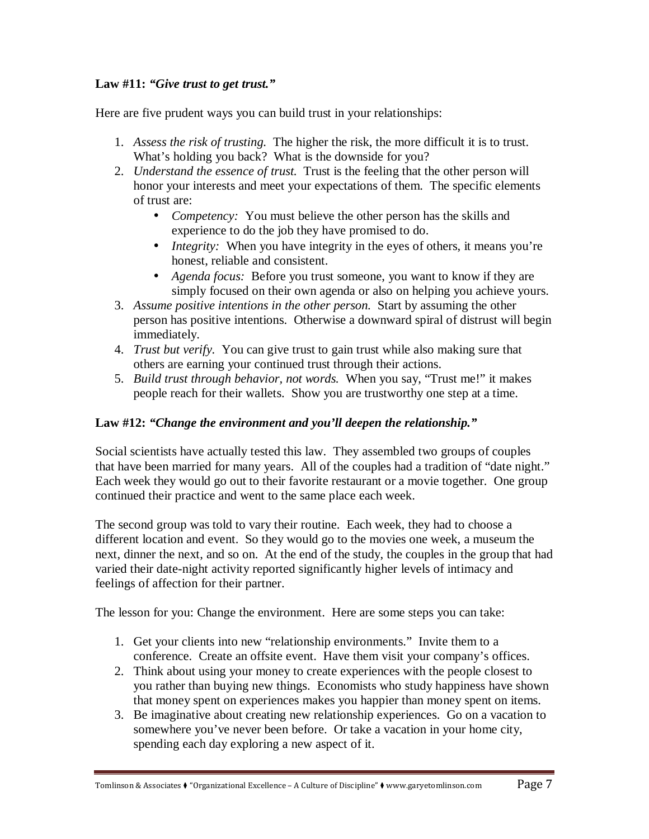#### **Law #11:** *"Give trust to get trust."*

Here are five prudent ways you can build trust in your relationships:

- 1. *Assess the risk of trusting.* The higher the risk, the more difficult it is to trust. What's holding you back? What is the downside for you?
- 2. *Understand the essence of trust.* Trust is the feeling that the other person will honor your interests and meet your expectations of them. The specific elements of trust are:
	- *Competency:* You must believe the other person has the skills and experience to do the job they have promised to do.
	- *Integrity:* When you have integrity in the eyes of others, it means you're honest, reliable and consistent.
	- *Agenda focus:* Before you trust someone, you want to know if they are simply focused on their own agenda or also on helping you achieve yours.
- 3. *Assume positive intentions in the other person.* Start by assuming the other person has positive intentions. Otherwise a downward spiral of distrust will begin immediately.
- 4. *Trust but verify.* You can give trust to gain trust while also making sure that others are earning your continued trust through their actions.
- 5. *Build trust through behavior, not words.* When you say, "Trust me!" it makes people reach for their wallets. Show you are trustworthy one step at a time.

#### **Law #12:** *"Change the environment and you'll deepen the relationship."*

Social scientists have actually tested this law. They assembled two groups of couples that have been married for many years. All of the couples had a tradition of "date night." Each week they would go out to their favorite restaurant or a movie together. One group continued their practice and went to the same place each week.

The second group was told to vary their routine. Each week, they had to choose a different location and event. So they would go to the movies one week, a museum the next, dinner the next, and so on. At the end of the study, the couples in the group that had varied their date-night activity reported significantly higher levels of intimacy and feelings of affection for their partner.

The lesson for you: Change the environment. Here are some steps you can take:

- 1. Get your clients into new "relationship environments." Invite them to a conference. Create an offsite event. Have them visit your company's offices.
- 2. Think about using your money to create experiences with the people closest to you rather than buying new things. Economists who study happiness have shown that money spent on experiences makes you happier than money spent on items.
- 3. Be imaginative about creating new relationship experiences. Go on a vacation to somewhere you've never been before. Or take a vacation in your home city, spending each day exploring a new aspect of it.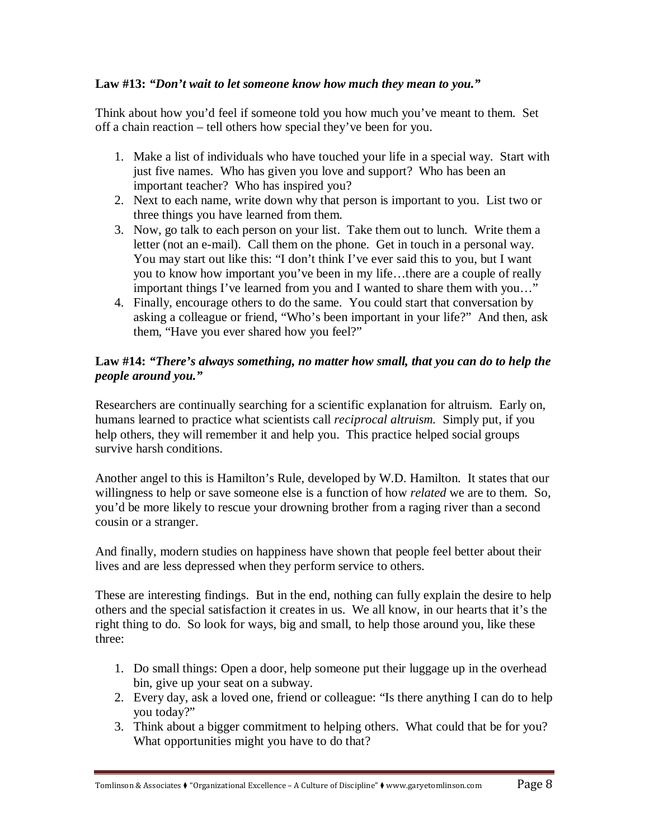#### **Law #13:** *"Don't wait to let someone know how much they mean to you."*

Think about how you'd feel if someone told you how much you've meant to them. Set off a chain reaction – tell others how special they've been for you.

- 1. Make a list of individuals who have touched your life in a special way. Start with just five names. Who has given you love and support? Who has been an important teacher? Who has inspired you?
- 2. Next to each name, write down why that person is important to you. List two or three things you have learned from them.
- 3. Now, go talk to each person on your list. Take them out to lunch. Write them a letter (not an e-mail). Call them on the phone. Get in touch in a personal way. You may start out like this: "I don't think I've ever said this to you, but I want you to know how important you've been in my life…there are a couple of really important things I've learned from you and I wanted to share them with you…"
- 4. Finally, encourage others to do the same. You could start that conversation by asking a colleague or friend, "Who's been important in your life?" And then, ask them, "Have you ever shared how you feel?"

#### **Law #14:** *"There's always something, no matter how small, that you can do to help the people around you."*

Researchers are continually searching for a scientific explanation for altruism. Early on, humans learned to practice what scientists call *reciprocal altruism.* Simply put, if you help others, they will remember it and help you. This practice helped social groups survive harsh conditions.

Another angel to this is Hamilton's Rule, developed by W.D. Hamilton. It states that our willingness to help or save someone else is a function of how *related* we are to them. So, you'd be more likely to rescue your drowning brother from a raging river than a second cousin or a stranger.

And finally, modern studies on happiness have shown that people feel better about their lives and are less depressed when they perform service to others.

These are interesting findings. But in the end, nothing can fully explain the desire to help others and the special satisfaction it creates in us. We all know, in our hearts that it's the right thing to do. So look for ways, big and small, to help those around you, like these three:

- 1. Do small things: Open a door, help someone put their luggage up in the overhead bin, give up your seat on a subway.
- 2. Every day, ask a loved one, friend or colleague: "Is there anything I can do to help you today?"
- 3. Think about a bigger commitment to helping others. What could that be for you? What opportunities might you have to do that?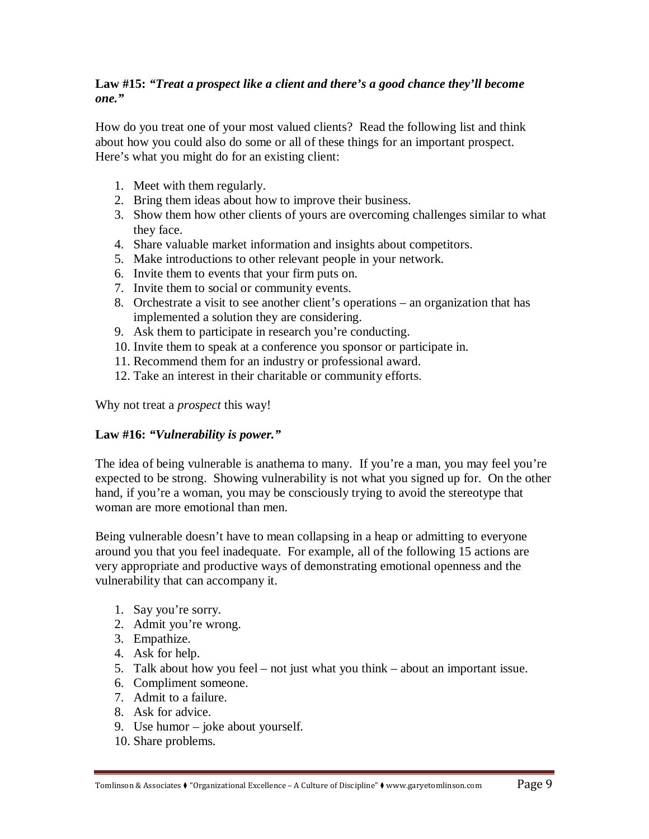#### **Law #15:** *"Treat a prospect like a client and there's a good chance they'll become one."*

How do you treat one of your most valued clients? Read the following list and think about how you could also do some or all of these things for an important prospect. Here's what you might do for an existing client:

- 1. Meet with them regularly.
- 2. Bring them ideas about how to improve their business.
- 3. Show them how other clients of yours are overcoming challenges similar to what they face.
- 4. Share valuable market information and insights about competitors.
- 5. Make introductions to other relevant people in your network.
- 6. Invite them to events that your firm puts on.
- 7. Invite them to social or community events.
- 8. Orchestrate a visit to see another client's operations an organization that has implemented a solution they are considering.
- 9. Ask them to participate in research you're conducting.
- 10. Invite them to speak at a conference you sponsor or participate in.
- 11. Recommend them for an industry or professional award.
- 12. Take an interest in their charitable or community efforts.

Why not treat a *prospect* this way!

#### **Law #16:** *"Vulnerability is power."*

The idea of being vulnerable is anathema to many. If you're a man, you may feel you're expected to be strong. Showing vulnerability is not what you signed up for. On the other hand, if you're a woman, you may be consciously trying to avoid the stereotype that woman are more emotional than men.

Being vulnerable doesn't have to mean collapsing in a heap or admitting to everyone around you that you feel inadequate. For example, all of the following 15 actions are very appropriate and productive ways of demonstrating emotional openness and the vulnerability that can accompany it.

- 1. Say you're sorry.
- 2. Admit you're wrong.
- 3. Empathize.
- 4. Ask for help.
- 5. Talk about how you feel not just what you think about an important issue.
- 6. Compliment someone.
- 7. Admit to a failure.
- 8. Ask for advice.
- 9. Use humor joke about yourself.
- 10. Share problems.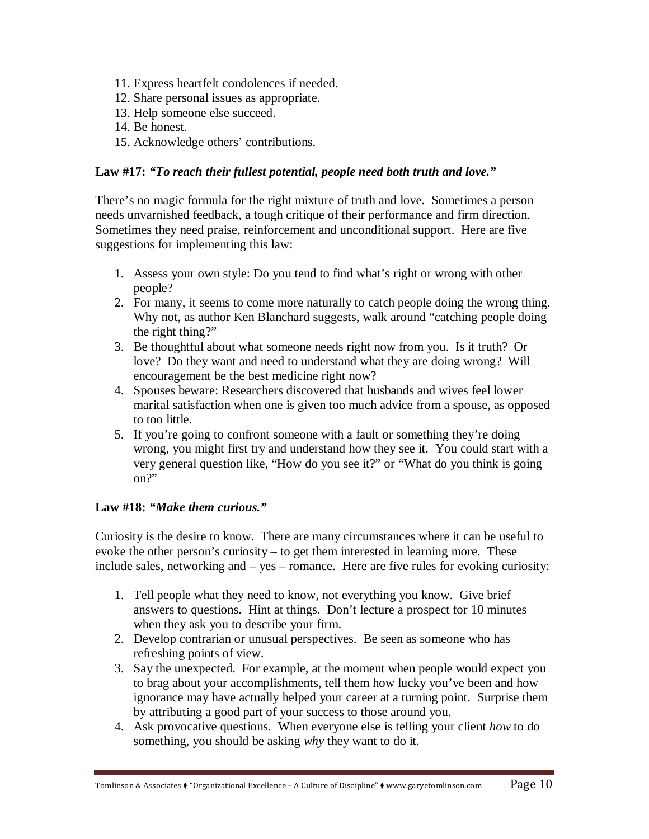- 11. Express heartfelt condolences if needed.
- 12. Share personal issues as appropriate.
- 13. Help someone else succeed.
- 14. Be honest.
- 15. Acknowledge others' contributions.

#### **Law #17:** *"To reach their fullest potential, people need both truth and love."*

There's no magic formula for the right mixture of truth and love. Sometimes a person needs unvarnished feedback, a tough critique of their performance and firm direction. Sometimes they need praise, reinforcement and unconditional support. Here are five suggestions for implementing this law:

- 1. Assess your own style: Do you tend to find what's right or wrong with other people?
- 2. For many, it seems to come more naturally to catch people doing the wrong thing. Why not, as author Ken Blanchard suggests, walk around "catching people doing the right thing?"
- 3. Be thoughtful about what someone needs right now from you. Is it truth? Or love? Do they want and need to understand what they are doing wrong? Will encouragement be the best medicine right now?
- 4. Spouses beware: Researchers discovered that husbands and wives feel lower marital satisfaction when one is given too much advice from a spouse, as opposed to too little.
- 5. If you're going to confront someone with a fault or something they're doing wrong, you might first try and understand how they see it. You could start with a very general question like, "How do you see it?" or "What do you think is going on?"

#### **Law #18:** *"Make them curious."*

Curiosity is the desire to know. There are many circumstances where it can be useful to evoke the other person's curiosity – to get them interested in learning more. These include sales, networking and – yes – romance. Here are five rules for evoking curiosity:

- 1. Tell people what they need to know, not everything you know. Give brief answers to questions. Hint at things. Don't lecture a prospect for 10 minutes when they ask you to describe your firm.
- 2. Develop contrarian or unusual perspectives. Be seen as someone who has refreshing points of view.
- 3. Say the unexpected. For example, at the moment when people would expect you to brag about your accomplishments, tell them how lucky you've been and how ignorance may have actually helped your career at a turning point. Surprise them by attributing a good part of your success to those around you.
- 4. Ask provocative questions. When everyone else is telling your client *how* to do something, you should be asking *why* they want to do it.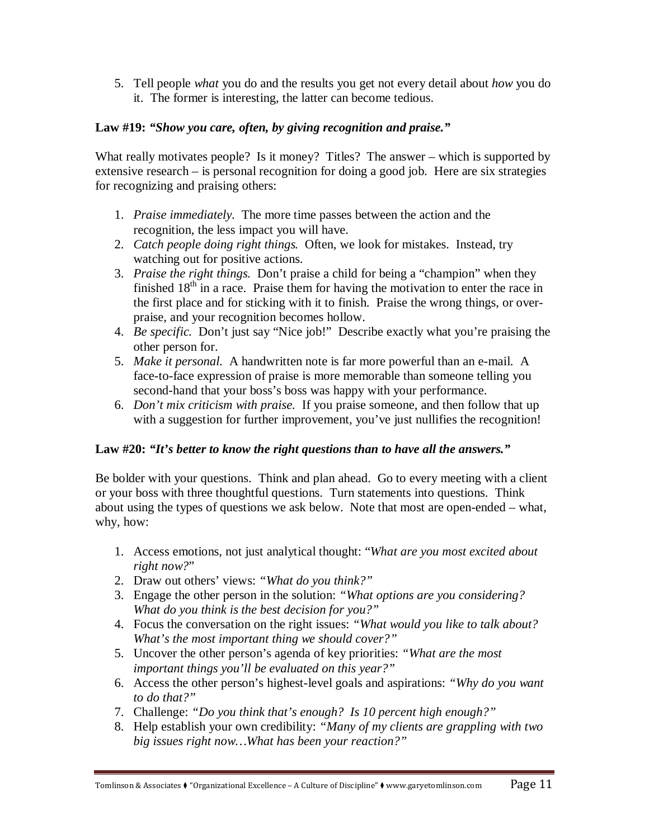5. Tell people *what* you do and the results you get not every detail about *how* you do it. The former is interesting, the latter can become tedious.

## **Law #19:** *"Show you care, often, by giving recognition and praise."*

What really motivates people? Is it money? Titles? The answer – which is supported by extensive research – is personal recognition for doing a good job. Here are six strategies for recognizing and praising others:

- 1. *Praise immediately.* The more time passes between the action and the recognition, the less impact you will have.
- 2. *Catch people doing right things.* Often, we look for mistakes. Instead, try watching out for positive actions.
- 3. *Praise the right things.* Don't praise a child for being a "champion" when they finished  $18<sup>th</sup>$  in a race. Praise them for having the motivation to enter the race in the first place and for sticking with it to finish. Praise the wrong things, or overpraise, and your recognition becomes hollow.
- 4. *Be specific.* Don't just say "Nice job!" Describe exactly what you're praising the other person for.
- 5. *Make it personal.* A handwritten note is far more powerful than an e-mail. A face-to-face expression of praise is more memorable than someone telling you second-hand that your boss's boss was happy with your performance.
- 6. *Don't mix criticism with praise.* If you praise someone, and then follow that up with a suggestion for further improvement, you've just nullifies the recognition!

#### **Law #20:** *"It's better to know the right questions than to have all the answers."*

Be bolder with your questions. Think and plan ahead. Go to every meeting with a client or your boss with three thoughtful questions. Turn statements into questions. Think about using the types of questions we ask below. Note that most are open-ended – what, why, how:

- 1. Access emotions, not just analytical thought: "*What are you most excited about right now?*"
- 2. Draw out others' views: *"What do you think?"*
- 3. Engage the other person in the solution: *"What options are you considering? What do you think is the best decision for you?"*
- 4. Focus the conversation on the right issues: *"What would you like to talk about? What's the most important thing we should cover?"*
- 5. Uncover the other person's agenda of key priorities: *"What are the most important things you'll be evaluated on this year?"*
- 6. Access the other person's highest-level goals and aspirations: *"Why do you want to do that?"*
- 7. Challenge: *"Do you think that's enough? Is 10 percent high enough?"*
- 8. Help establish your own credibility: *"Many of my clients are grappling with two big issues right now…What has been your reaction?"*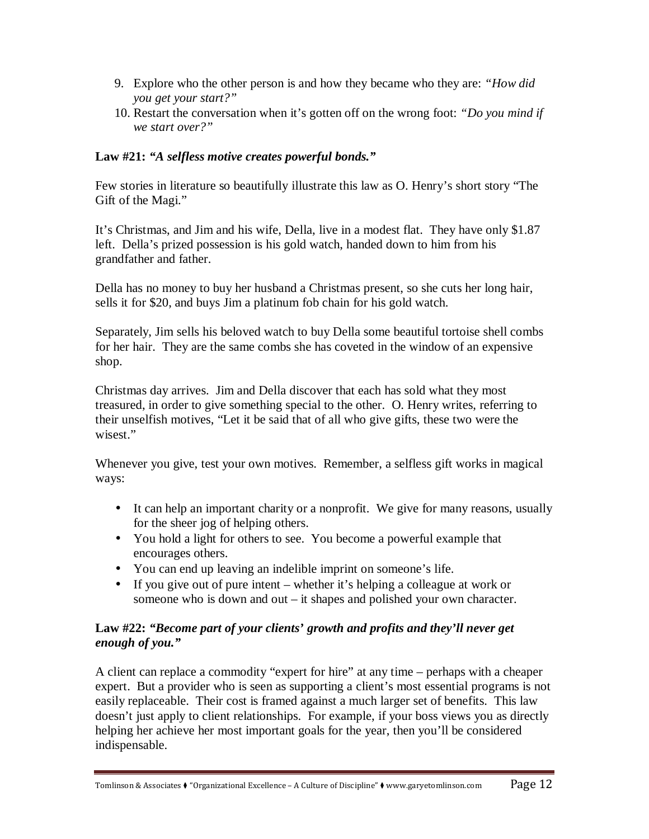- 9. Explore who the other person is and how they became who they are: *"How did you get your start?"*
- 10. Restart the conversation when it's gotten off on the wrong foot: *"Do you mind if we start over?"*

# **Law #21:** *"A selfless motive creates powerful bonds."*

Few stories in literature so beautifully illustrate this law as O. Henry's short story "The Gift of the Magi."

It's Christmas, and Jim and his wife, Della, live in a modest flat. They have only \$1.87 left. Della's prized possession is his gold watch, handed down to him from his grandfather and father.

Della has no money to buy her husband a Christmas present, so she cuts her long hair, sells it for \$20, and buys Jim a platinum fob chain for his gold watch.

Separately, Jim sells his beloved watch to buy Della some beautiful tortoise shell combs for her hair. They are the same combs she has coveted in the window of an expensive shop.

Christmas day arrives. Jim and Della discover that each has sold what they most treasured, in order to give something special to the other. O. Henry writes, referring to their unselfish motives, "Let it be said that of all who give gifts, these two were the wisest."

Whenever you give, test your own motives. Remember, a selfless gift works in magical ways:

- It can help an important charity or a nonprofit. We give for many reasons, usually for the sheer jog of helping others.
- You hold a light for others to see. You become a powerful example that encourages others.
- You can end up leaving an indelible imprint on someone's life.
- If you give out of pure intent whether it's helping a colleague at work or someone who is down and out – it shapes and polished your own character.

## **Law #22:** *"Become part of your clients' growth and profits and they'll never get enough of you."*

A client can replace a commodity "expert for hire" at any time – perhaps with a cheaper expert. But a provider who is seen as supporting a client's most essential programs is not easily replaceable. Their cost is framed against a much larger set of benefits. This law doesn't just apply to client relationships. For example, if your boss views you as directly helping her achieve her most important goals for the year, then you'll be considered indispensable.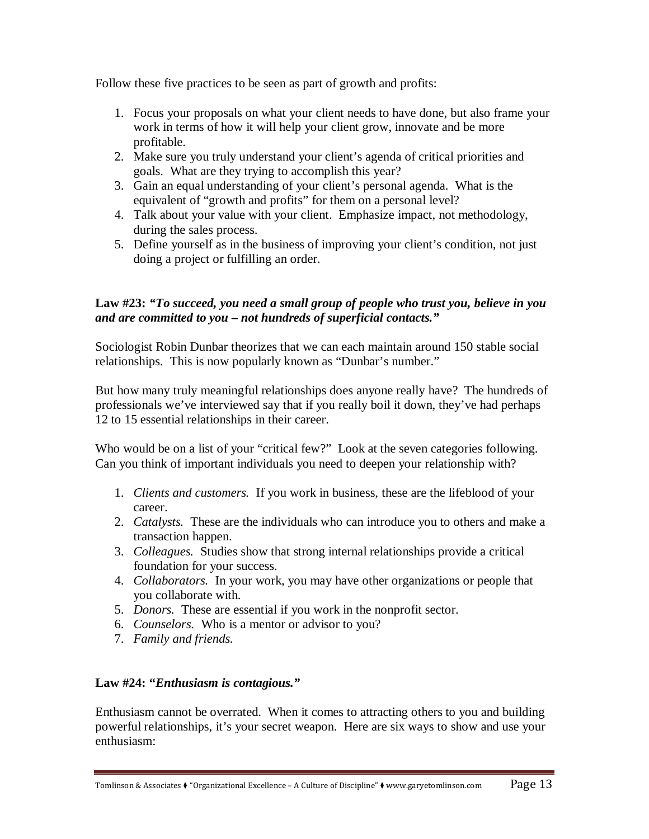Follow these five practices to be seen as part of growth and profits:

- 1. Focus your proposals on what your client needs to have done, but also frame your work in terms of how it will help your client grow, innovate and be more profitable.
- 2. Make sure you truly understand your client's agenda of critical priorities and goals. What are they trying to accomplish this year?
- 3. Gain an equal understanding of your client's personal agenda. What is the equivalent of "growth and profits" for them on a personal level?
- 4. Talk about your value with your client. Emphasize impact, not methodology, during the sales process.
- 5. Define yourself as in the business of improving your client's condition, not just doing a project or fulfilling an order.

#### **Law #23:** *"To succeed, you need a small group of people who trust you, believe in you and are committed to you – not hundreds of superficial contacts."*

Sociologist Robin Dunbar theorizes that we can each maintain around 150 stable social relationships. This is now popularly known as "Dunbar's number."

But how many truly meaningful relationships does anyone really have? The hundreds of professionals we've interviewed say that if you really boil it down, they've had perhaps 12 to 15 essential relationships in their career.

Who would be on a list of your "critical few?" Look at the seven categories following. Can you think of important individuals you need to deepen your relationship with?

- 1. *Clients and customers.* If you work in business, these are the lifeblood of your career.
- 2. *Catalysts.* These are the individuals who can introduce you to others and make a transaction happen.
- 3. *Colleagues.* Studies show that strong internal relationships provide a critical foundation for your success.
- 4. *Collaborators.* In your work, you may have other organizations or people that you collaborate with.
- 5. *Donors.* These are essential if you work in the nonprofit sector.
- 6. *Counselors.* Who is a mentor or advisor to you?
- 7. *Family and friends.*

#### **Law #24: "***Enthusiasm is contagious."*

Enthusiasm cannot be overrated. When it comes to attracting others to you and building powerful relationships, it's your secret weapon. Here are six ways to show and use your enthusiasm: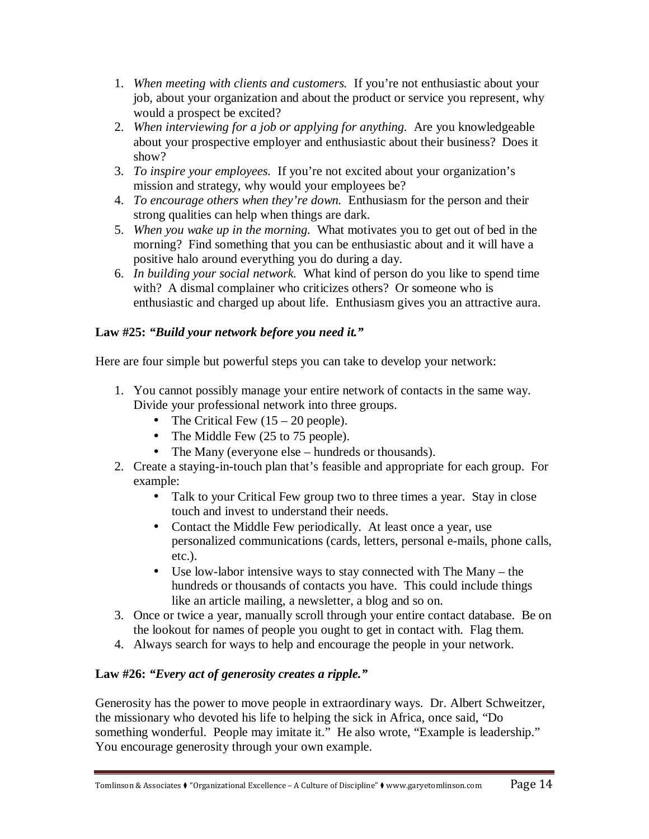- 1. *When meeting with clients and customers.* If you're not enthusiastic about your job, about your organization and about the product or service you represent, why would a prospect be excited?
- 2. *When interviewing for a job or applying for anything.* Are you knowledgeable about your prospective employer and enthusiastic about their business? Does it show?
- 3. *To inspire your employees.* If you're not excited about your organization's mission and strategy, why would your employees be?
- 4. *To encourage others when they're down.* Enthusiasm for the person and their strong qualities can help when things are dark.
- 5. *When you wake up in the morning.* What motivates you to get out of bed in the morning? Find something that you can be enthusiastic about and it will have a positive halo around everything you do during a day.
- 6. *In building your social network.* What kind of person do you like to spend time with? A dismal complainer who criticizes others? Or someone who is enthusiastic and charged up about life. Enthusiasm gives you an attractive aura.

# **Law #25:** *"Build your network before you need it."*

Here are four simple but powerful steps you can take to develop your network:

- 1. You cannot possibly manage your entire network of contacts in the same way. Divide your professional network into three groups.
	- The Critical Few  $(15 20$  people).
	- The Middle Few (25 to 75 people).
	- The Many (everyone else hundreds or thousands).
- 2. Create a staying-in-touch plan that's feasible and appropriate for each group. For example:
	- Talk to your Critical Few group two to three times a year. Stay in close touch and invest to understand their needs.
	- Contact the Middle Few periodically. At least once a year, use personalized communications (cards, letters, personal e-mails, phone calls, etc.).
	- Use low-labor intensive ways to stay connected with The Many the hundreds or thousands of contacts you have. This could include things like an article mailing, a newsletter, a blog and so on.
- 3. Once or twice a year, manually scroll through your entire contact database. Be on the lookout for names of people you ought to get in contact with. Flag them.
- 4. Always search for ways to help and encourage the people in your network.

# **Law #26:** *"Every act of generosity creates a ripple."*

Generosity has the power to move people in extraordinary ways. Dr. Albert Schweitzer, the missionary who devoted his life to helping the sick in Africa, once said, "Do something wonderful. People may imitate it." He also wrote, "Example is leadership." You encourage generosity through your own example.